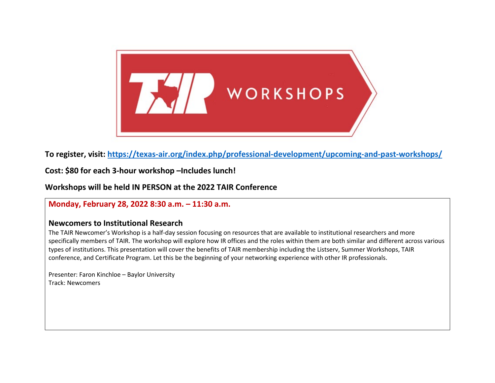

**To register, visit:<https://texas-air.org/index.php/professional-development/upcoming-and-past-workshops/>**

**Cost: \$80 for each 3-hour workshop –Includes lunch!**

**Workshops will be held IN PERSON at the 2022 TAIR Conference**

## **Monday, February 28, 2022 8:30 a.m. – 11:30 a.m.**

## **Newcomers to Institutional Research**

The TAIR Newcomer's Workshop is a half-day session focusing on resources that are available to institutional researchers and more specifically members of TAIR. The workshop will explore how IR offices and the roles within them are both similar and different across various types of institutions. This presentation will cover the benefits of TAIR membership including the Listserv, Summer Workshops, TAIR conference, and Certificate Program. Let this be the beginning of your networking experience with other IR professionals.

Presenter: Faron Kinchloe – Baylor University Track: Newcomers